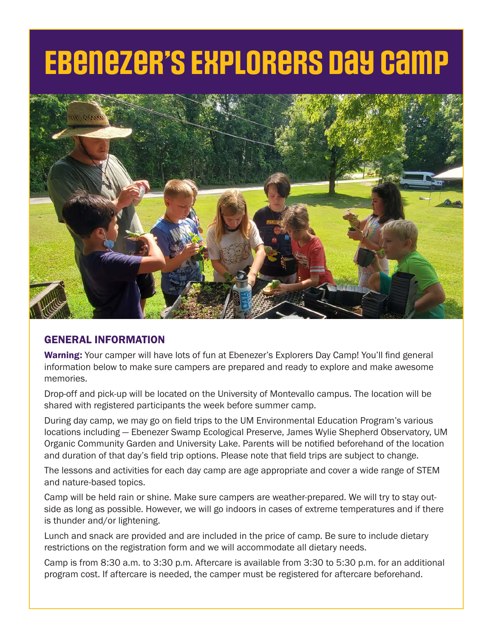# **Ebenezer's Explorers Day Camp**



## GENERAL INFORMATION

Warning: Your camper will have lots of fun at Ebenezer's Explorers Day Camp! You'll find general information below to make sure campers are prepared and ready to explore and make awesome memories.

Drop-off and pick-up will be located on the University of Montevallo campus. The location will be shared with registered participants the week before summer camp.

During day camp, we may go on field trips to the UM Environmental Education Program's various locations including — Ebenezer Swamp Ecological Preserve, James Wylie Shepherd Observatory, UM Organic Community Garden and University Lake. Parents will be notified beforehand of the location and duration of that day's field trip options. Please note that field trips are subject to change.

The lessons and activities for each day camp are age appropriate and cover a wide range of STEM and nature-based topics.

Camp will be held rain or shine. Make sure campers are weather-prepared. We will try to stay outside as long as possible. However, we will go indoors in cases of extreme temperatures and if there is thunder and/or lightening.

Lunch and snack are provided and are included in the price of camp. Be sure to include dietary restrictions on the registration form and we will accommodate all dietary needs.

Camp is from 8:30 a.m. to 3:30 p.m. Aftercare is available from 3:30 to 5:30 p.m. for an additional program cost. If aftercare is needed, the camper must be registered for aftercare beforehand.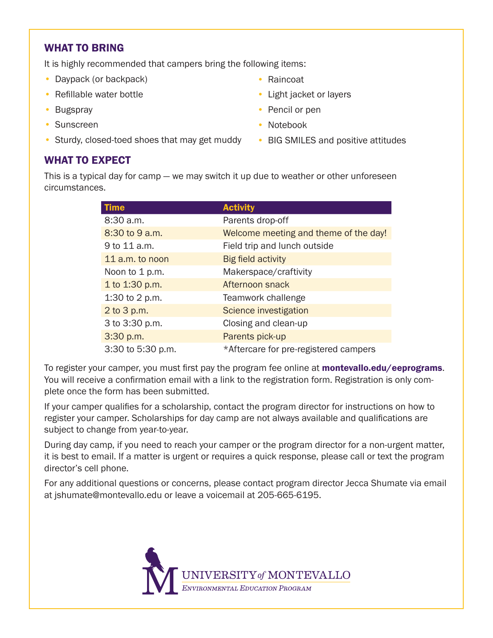## WHAT TO BRING

It is highly recommended that campers bring the following items:

- Daypack (or backpack)
- Refillable water bottle
- Bugspray
- Sunscreen
- Sturdy, closed-toed shoes that may get muddy BIG SMILES and positive attitudes
- Raincoat
- Light jacket or layers
- Pencil or pen
- Notebook
	-

## WHAT TO EXPECT

This is a typical day for camp — we may switch it up due to weather or other unforeseen circumstances.

| <b>Time</b>       | <b>Activity</b>                       |
|-------------------|---------------------------------------|
| 8:30 a.m.         | Parents drop-off                      |
| 8:30 to 9 a.m.    | Welcome meeting and theme of the day! |
| 9 to 11 a.m.      | Field trip and lunch outside          |
| 11 a.m. to noon   | <b>Big field activity</b>             |
| Noon to 1 p.m.    | Makerspace/craftivity                 |
| 1 to 1:30 p.m.    | Afternoon snack                       |
| 1:30 to 2 p.m.    | Teamwork challenge                    |
| 2 to 3 p.m.       | Science investigation                 |
| 3 to 3:30 p.m.    | Closing and clean-up                  |
| 3:30 p.m.         | Parents pick-up                       |
| 3:30 to 5:30 p.m. | *Aftercare for pre-registered campers |

To register your camper, you must first pay the program fee online at **montevallo.edu/eeprograms**. You will receive a confirmation email with a link to the registration form. Registration is only complete once the form has been submitted.

If your camper qualifies for a scholarship, contact the program director for instructions on how to register your camper. Scholarships for day camp are not always available and qualifications are subject to change from year-to-year.

During day camp, if you need to reach your camper or the program director for a non-urgent matter, it is best to email. If a matter is urgent or requires a quick response, please call or text the program director's cell phone.

For any additional questions or concerns, please contact program director Jecca Shumate via email at jshumate@montevallo.edu or leave a voicemail at 205-665-6195.

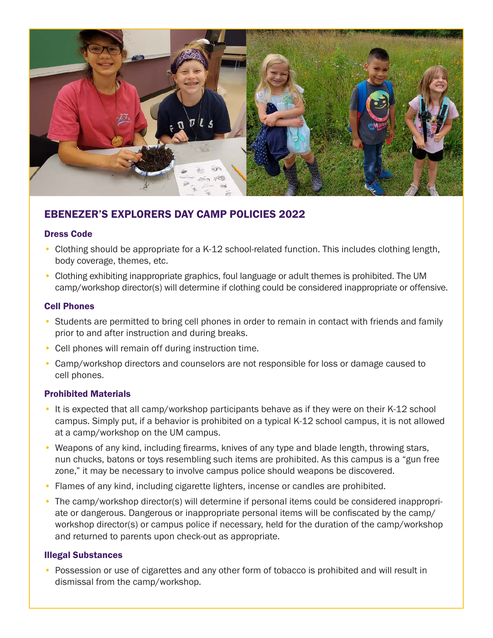

# EBENEZER'S EXPLORERS DAY CAMP POLICIES 2022

#### Dress Code

- Clothing should be appropriate for a K-12 school-related function. This includes clothing length, body coverage, themes, etc.
- Clothing exhibiting inappropriate graphics, foul language or adult themes is prohibited. The UM camp/workshop director(s) will determine if clothing could be considered inappropriate or offensive.

#### Cell Phones

- Students are permitted to bring cell phones in order to remain in contact with friends and family prior to and after instruction and during breaks.
- Cell phones will remain off during instruction time.
- Camp/workshop directors and counselors are not responsible for loss or damage caused to cell phones.

#### Prohibited Materials

- It is expected that all camp/workshop participants behave as if they were on their K-12 school campus. Simply put, if a behavior is prohibited on a typical K-12 school campus, it is not allowed at a camp/workshop on the UM campus.
- Weapons of any kind, including firearms, knives of any type and blade length, throwing stars, nun chucks, batons or toys resembling such items are prohibited. As this campus is a "gun free zone," it may be necessary to involve campus police should weapons be discovered.
- Flames of any kind, including cigarette lighters, incense or candles are prohibited.
- The camp/workshop director(s) will determine if personal items could be considered inappropriate or dangerous. Dangerous or inappropriate personal items will be confiscated by the camp/ workshop director(s) or campus police if necessary, held for the duration of the camp/workshop and returned to parents upon check-out as appropriate.

#### Illegal Substances

• Possession or use of cigarettes and any other form of tobacco is prohibited and will result in dismissal from the camp/workshop.